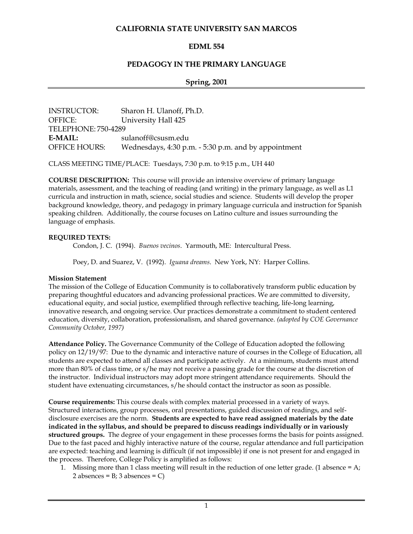# **CALIFORNIA STATE UNIVERSITY SAN MARCOS**

# **EDML 554**

# **PEDAGOGY IN THE PRIMARY LANGUAGE**

### **Spring, 2001**

| <b>INSTRUCTOR:</b>  | Sharon H. Ulanoff, Ph.D.                             |
|---------------------|------------------------------------------------------|
| OFFICE:             | University Hall 425                                  |
| TELEPHONE: 750-4289 |                                                      |
| E-MAIL:             | sulanoff@csusm.edu                                   |
| OFFICE HOURS:       | Wednesdays, 4:30 p.m. - 5:30 p.m. and by appointment |

CLASS MEETING TIME/PLACE: Tuesdays, 7:30 p.m. to 9:15 p.m., UH 440

**COURSE DESCRIPTION:** This course will provide an intensive overview of primary language materials, assessment, and the teaching of reading (and writing) in the primary language, as well as L1 curricula and instruction in math, science, social studies and science. Students will develop the proper background knowledge, theory, and pedagogy in primary language curricula and instruction for Spanish speaking children. Additionally, the course focuses on Latino culture and issues surrounding the language of emphasis.

### **REQUIRED TEXTS:**

Condon, J. C. (1994). *Buenos vecinos*. Yarmouth, ME: Intercultural Press.

Poey, D. and Suarez, V. (1992). *Iguana dreams*. New York, NY: Harper Collins.

#### **Mission Statement**

The mission of the College of Education Community is to collaboratively transform public education by preparing thoughtful educators and advancing professional practices. We are committed to diversity, educational equity, and social justice, exemplified through reflective teaching, life-long learning, innovative research, and ongoing service. Our practices demonstrate a commitment to student centered education, diversity, collaboration, professionalism, and shared governance. *(adopted by COE Governance Community October, 1997)*

**Attendance Policy.** The Governance Community of the College of Education adopted the following policy on 12/19/97: Due to the dynamic and interactive nature of courses in the College of Education, all students are expected to attend all classes and participate actively. At a minimum, students must attend more than 80% of class time, or s/he may not receive a passing grade for the course at the discretion of the instructor. Individual instructors may adopt more stringent attendance requirements. Should the student have extenuating circumstances, s/he should contact the instructor as soon as possible.

**Course requirements:** This course deals with complex material processed in a variety of ways. Structured interactions, group processes, oral presentations, guided discussion of readings, and selfdisclosure exercises are the norm. **Students are expected to have read assigned materials by the date indicated in the syllabus, and should be prepared to discuss readings individually or in variously structured groups.** The degree of your engagement in these processes forms the basis for points assigned. Due to the fast paced and highly interactive nature of the course, regular attendance and full participation are expected: teaching and learning is difficult (if not impossible) if one is not present for and engaged in the process. Therefore, College Policy is amplified as follows:

1. Missing more than 1 class meeting will result in the reduction of one letter grade. (1 absence  $= A$ ; 2 absences =  $B$ ; 3 absences =  $C$ )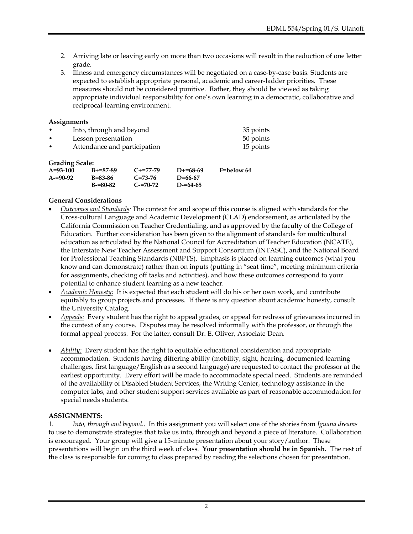- 2. Arriving late or leaving early on more than two occasions will result in the reduction of one letter grade.
- 3. Illness and emergency circumstances will be negotiated on a case-by-case basis. Students are expected to establish appropriate personal, academic and career-ladder priorities. These measures should not be considered punitive. Rather, they should be viewed as taking appropriate individual responsibility for one's own learning in a democratic, collaborative and reciprocal-learning environment.

### **Assignments**

| $\bullet$ | Into, through and beyond     | 35 points |
|-----------|------------------------------|-----------|
| $\bullet$ | Lesson presentation          | 50 points |
| $\bullet$ | Attendance and participation | 15 points |

### **Grading Scale:**

| $S1$ $S2$ $S2$ $S3$ |               |               |               |            |
|---------------------|---------------|---------------|---------------|------------|
| $A = 93 - 100$      | $B+=87-89$    | $C+=77-79$    | $D+ = 68-69$  | F=below 64 |
| $A = 90 - 92$       | B=83-86       | $C = 73 - 76$ | $D = 66 - 67$ |            |
|                     | $B = 80 - 82$ | $C = 70 - 72$ | $D = 64 - 65$ |            |

# **General Considerations**

- *Outcomes and Standards:* The context for and scope of this course is aligned with standards for the Cross-cultural Language and Academic Development (CLAD) endorsement, as articulated by the California Commission on Teacher Credentialing, and as approved by the faculty of the College of Education. Further consideration has been given to the alignment of standards for multicultural education as articulated by the National Council for Accreditation of Teacher Education (NCATE), the Interstate New Teacher Assessment and Support Consortium (INTASC), and the National Board for Professional Teaching Standards (NBPTS). Emphasis is placed on learning outcomes (what you know and can demonstrate) rather than on inputs (putting in "seat time", meeting minimum criteria for assignments, checking off tasks and activities), and how these outcomes correspond to your potential to enhance student learning as a new teacher.
- *Academic Honesty:* It is expected that each student will do his or her own work, and contribute equitably to group projects and processes. If there is any question about academic honesty, consult the University Catalog.
- *Appeals:* Every student has the right to appeal grades, or appeal for redress of grievances incurred in the context of any course. Disputes may be resolved informally with the professor, or through the formal appeal process. For the latter, consult Dr. E. Oliver, Associate Dean.
- *Ability:* Every student has the right to equitable educational consideration and appropriate accommodation. Students having differing ability (mobility, sight, hearing, documented learning challenges, first language/English as a second language) are requested to contact the professor at the earliest opportunity. Every effort will be made to accommodate special need. Students are reminded of the availability of Disabled Student Services, the Writing Center, technology assistance in the computer labs, and other student support services available as part of reasonable accommodation for special needs students.

### **ASSIGNMENTS:**

1. *Into, through and beyond*.. In this assignment you will select one of the stories from *Iguana dreams* to use to demonstrate strategies that take us into, through and beyond a piece of literature. Collaboration is encouraged. Your group will give a 15-minute presentation about your story/author. These presentations will begin on the third week of class. **Your presentation should be in Spanish.** The rest of the class is responsible for coming to class prepared by reading the selections chosen for presentation.